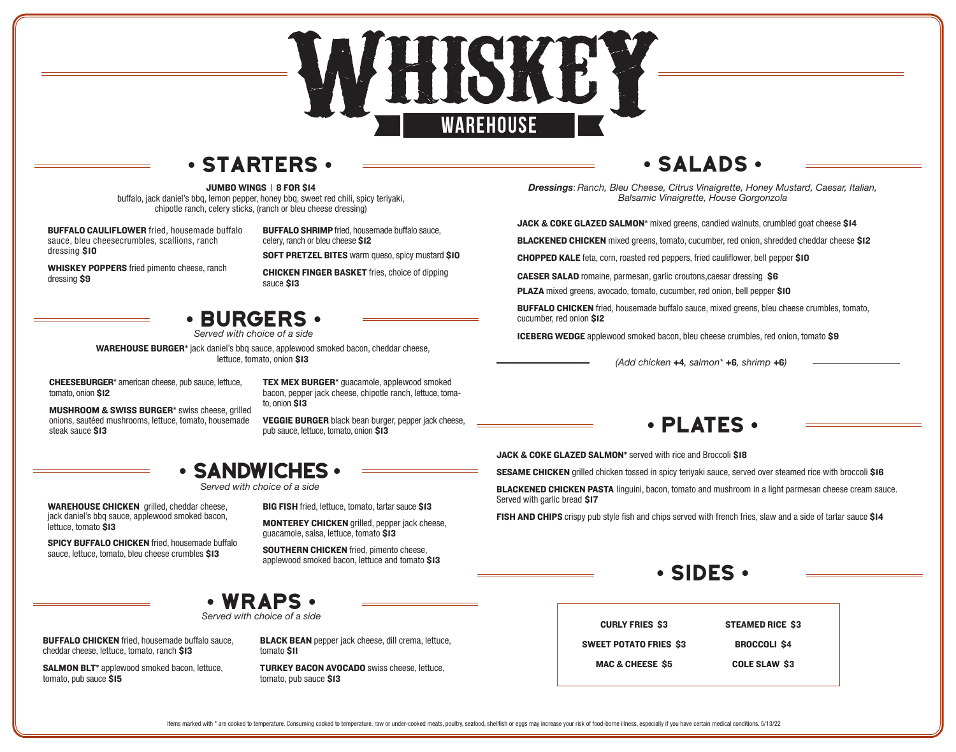

### **•** starters **•**

JUMBO WINGS | 8 FOR \$14

buffalo, jack daniel's bbq, lemon pepper, honey bbq, sweet red chili, spicy teriyaki, chipotle ranch, celery sticks, (ranch or bleu cheese dressing)

BUFFALO CAULIFLOWER fried, housemade buffalo sauce, bleu cheesecrumbles, scallions, ranch dressing \$10

BUFFALO SHRIMP fried, housemade buffalo sauce, celery, ranch or bleu cheese \$12

WHISKEY POPPERS fried pimento cheese, ranch dressing \$9

SOFT PRETZEL BITES warm queso, spicy mustard \$10

CHICKEN FINGER BASKET fries, choice of dipping sauce \$13

### **•** Burgers **•**

*Served with choice of a side*

WAREHOUSE BURGER\* jack daniel's bbq sauce, applewood smoked bacon, cheddar cheese, lettuce, tomato, onion \$13

CHEESEBURGER\* american cheese, pub sauce, lettuce, tomato, onion \$12

TEX MEX BURGER\* guacamole, applewood smoked bacon, pepper jack cheese, chipotle ranch, lettuce, toma-

MUSHROOM & SWISS BURGER\* swiss cheese, grilled onions, sautéed mushrooms, lettuce, tomato, housemade steak sauce \$13

to, onion \$13

VEGGIE BURGER black bean burger, pepper jack cheese, pub sauce, lettuce, tomato, onion \$13

### **•** sandwiches **•**

WAREHOUSE CHICKEN grilled, cheddar cheese, jack daniel's bbq sauce, applewood smoked bacon, lettuce, tomato \$13

SPICY BUFFALO CHICKEN fried, housemade buffalo sauce, lettuce, tomato, bleu cheese crumbles \$13

BIG FISH fried, lettuce, tomato, tartar sauce \$13

MONTEREY CHICKEN grilled, pepper jack cheese, guacamole, salsa, lettuce, tomato \$13

SOUTHERN CHICKEN fried, pimento cheese, applewood smoked bacon, lettuce and tomato \$13

### **•** Salads **•**

*Dressings*: *Ranch, Bleu Cheese, Citrus Vinaigrette, Honey Mustard, Caesar, Italian, Balsamic Vinaigrette, House Gorgonzola*

JACK & COKE GLAZED SALMON\* mixed greens, candied walnuts, crumbled goat cheese \$14

BLACKENED CHICKEN mixed greens, tomato, cucumber, red onion, shredded cheddar cheese \$12

CHOPPED KALE feta, corn, roasted red peppers, fried cauliflower, bell pepper \$10

CAESER SALAD romaine, parmesan, garlic croutons,caesar dressing \$6

PLAZA mixed greens, avocado, tomato, cucumber, red onion, bell pepper \$10

BUFFALO CHICKEN fried, housemade buffalo sauce, mixed greens, bleu cheese crumbles, tomato, cucumber, red onion \$12

ICEBERG WEDGE applewood smoked bacon, bleu cheese crumbles, red onion, tomato \$9

*(Add chicken* **+**4*, salmon\** **+**6*, shrimp* **+**6*)*

### **•** plates **•**

JACK & COKE GLAZED SALMON<sup>\*</sup> served with rice and Broccoli \$18

SESAME CHICKEN grilled chicken tossed in spicy teriyaki sauce, served over steamed rice with broccoli \$16

**BLACKENED CHICKEN PASTA linguini, bacon, tomato and mushroom in a light parmesan cheese cream sauce.** Served with garlic bread \$17

FISH AND CHIPS crispy pub style fish and chips served with french fries, slaw and a side of tartar sauce \$14





*Served with choice of a side*

BUFFALO CHICKEN fried, housemade buffalo sauce, cheddar cheese, lettuce, tomato, ranch \$13

SALMON BLT\* applewood smoked bacon, lettuce, tomato, pub sauce \$15

BLACK BEAN pepper jack cheese, dill crema, lettuce, tomato \$11

TURKEY BACON AVOCADO swiss cheese, lettuce, tomato, pub sauce \$13

| <b>STEAMED RICE \$3</b> |
|-------------------------|
| <b>BROCCOLI S4</b>      |
| <b>COLE SLAW \$3</b>    |
|                         |

*Served with choice of a side*